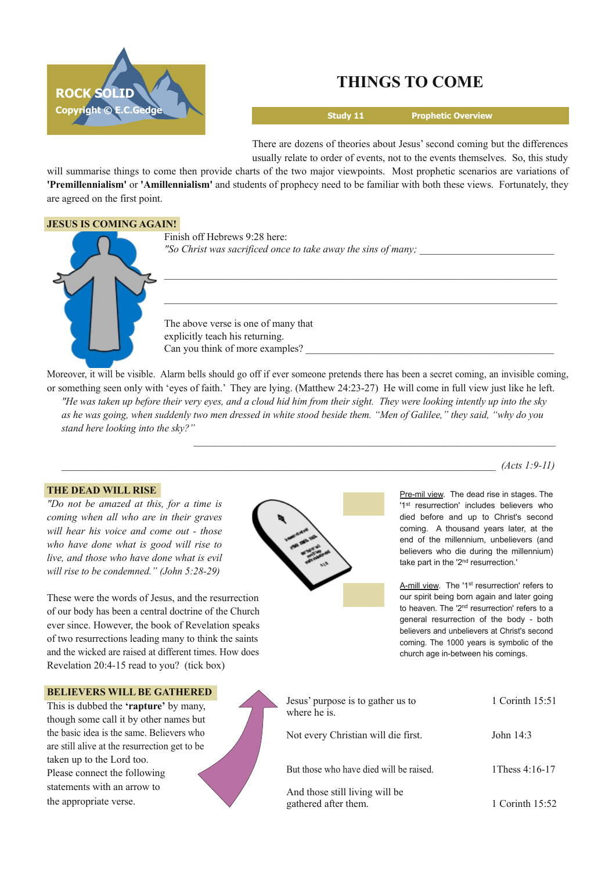

# **THINGS TO COME**

 $\mathcal{L}_\text{max}$  and the set of the set of the set of the set of the set of the set of the set of the set of the set of

 $\mathcal{L}_\text{max}$  and the set of the set of the set of the set of the set of the set of the set of the set of the set of

 $\_$  , and the set of the set of the set of the set of the set of the set of the set of the set of the set of the set of the set of the set of the set of the set of the set of the set of the set of the set of the set of th

**Study 11 Prophetic Overview**

There are dozens of theories about Jesus' second coming but the differences usually relate to order of events, not to the events themselves. So, this study

will summarise things to come then provide charts of the two major viewpoints. Most prophetic scenarios are variations of **'Premillennialism'** or **'Amillennialism'** and students of prophecy need to be familiar with both these views. Fortunately, they are agreed on the first point.

### **JESUS IS COMING AGAIN!**

Finish off Hebrews 9:28 here: *"So Christ was sacrificed once to take away the sins of many;* \_\_\_\_\_\_\_\_\_\_\_\_\_\_\_\_\_\_\_\_\_\_\_\_\_\_

The above verse is one of many that explicitly teach his returning. Can you think of more examples?

Moreover, it will be visible. Alarm bells should go off if ever someone pretends there has been a secret coming, an invisible coming, or something seen only with 'eyes of faith.' They are lying. (Matthew 24:23-27) He will come in full view just like he left. "He was taken up before their very eyes, and a cloud hid him from their sight. They were looking intently up into the sky as he was going, when suddenly two men dressed in white stood beside them. "Men of Galilee," they said, "why do you *stand here looking into the sky?"*

### **THE DEAD WILL RISE**

*"Do not be amazed at this, for a time is coming when all who are in their graves will hear his voice and come out those who have done what is good will rise to live, and those who have done what is evil will rise to be condemned." (John 5:28-29)* 

These were the words of Jesus, and the resurrection of our body has been a central doctrine of the Church ever since. However, the book of Revelation speaks of two resurrections leading many to think the saints and the wicked are raised at different times. How does Revelation 20:4-15 read to you? (tick box)



Pre-mil view. The dead rise in stages. The '1<sup>st</sup> resurrection' includes believers who died before and up to Christ's second coming. A thousand years later, at the end of the millennium, unbelievers (and believers who die during the millennium) take part in the '2<sup>nd</sup> resurrection.'

*\_\_\_\_\_\_\_\_\_\_\_\_\_\_\_\_\_\_\_\_\_\_\_\_\_\_\_\_\_\_\_\_\_\_\_\_\_\_\_\_\_\_\_\_\_\_\_\_\_\_\_\_\_\_\_\_\_\_\_\_\_\_\_\_\_\_\_\_\_\_\_\_\_\_\_\_\_\_\_\_\_\_\_\_ (Acts 1:911)*

A-mill view. The '1<sup>st</sup> resurrection' refers to our spirit being born again and later going to heaven. The '2<sup>nd</sup> resurrection' refers to a general resurrection of the body - both believers and unbelievers at Christ's second coming. The 1000 years is symbolic of the church age in-between his comings.

| <b>BELIEVERS WILL BE GATHERED</b> |  |
|-----------------------------------|--|
|-----------------------------------|--|

This is dubbed the **'rapture'** by many, though some call it by other names but the basic idea is the same. Believers who are still alive at the resurrection get to be taken up to the Lord too. Please connect the following statements with an arrow to the appropriate verse.



| Jesus' purpose is to gather us to<br>where he is.      | 1 Corinth 15:51   |
|--------------------------------------------------------|-------------------|
| Not every Christian will die first.                    | John $14:3$       |
| But those who have died will be raised.                | 1 Thess $4:16-17$ |
| And those still living will be<br>gathered after them. | 1 Corinth 15:52   |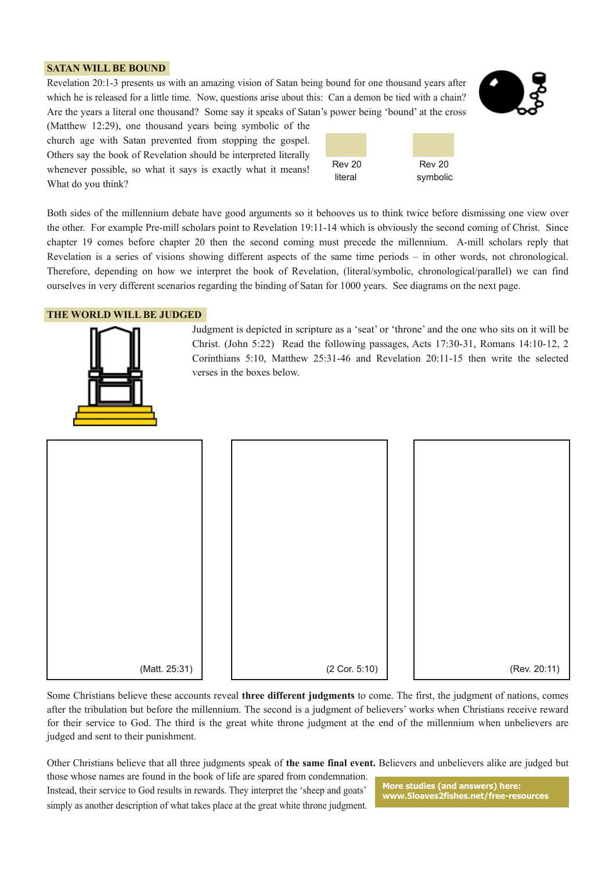### **SATAN WILL BE BOUND**

Revelation 20:13 presents us with an amazing vision of Satan being bound for one thousand years after which he is released for a little time. Now, questions arise about this: Can a demon be tied with a chain? Are the years a literal one thousand? Some say it speaks of Satan's power being 'bound' at the cross

(Matthew 12:29), one thousand years being symbolic of the church age with Satan prevented from stopping the gospel. Others say the book of Revelation should be interpreted literally whenever possible, so what it says is exactly what it means! What do you think?



Both sides of the millennium debate have good arguments so it behooves us to think twice before dismissing one view over the other. For example Pre-mill scholars point to Revelation 19:11-14 which is obviously the second coming of Christ. Since chapter 19 comes before chapter 20 then the second coming must precede the millennium. A-mill scholars reply that Revelation is a series of visions showing different aspects of the same time periods – in other words, not chronological. Therefore, depending on how we interpret the book of Revelation, (literal/symbolic, chronological/parallel) we can find ourselves in very different scenarios regarding the binding of Satan for 1000 years. See diagrams on the next page.

## **THE WORLD WILL BE JUDGED**



Judgment is depicted in scripture as a 'seat' or 'throne' and the one who sits on it will be Christ. (John 5:22) Read the following passages, Acts 17:30-31, Romans 14:10-12, 2 Corinthians 5:10, Matthew 25:3146 and Revelation 20:1115 then write the selected verses in the boxes below.



Some Christians believe these accounts reveal **three different judgments** to come. The first, the judgment of nations, comes after the tribulation but before the millennium. The second is a judgment of believers' works when Christians receive reward for their service to God. The third is the great white throne judgment at the end of the millennium when unbelievers are judged and sent to their punishment.

Other Christians believe that all three judgments speak of **the same final event.** Believers and unbelievers alike are judged but

those whose names are found in the book of life are spared from condemnation. Instead, their service to God results in rewards. They interpret the 'sheep and goats' simply as another description of what takes place at the great white throne judgment.

**More studies (and answers) here: www.5loaves2fishes.net/freeresources**